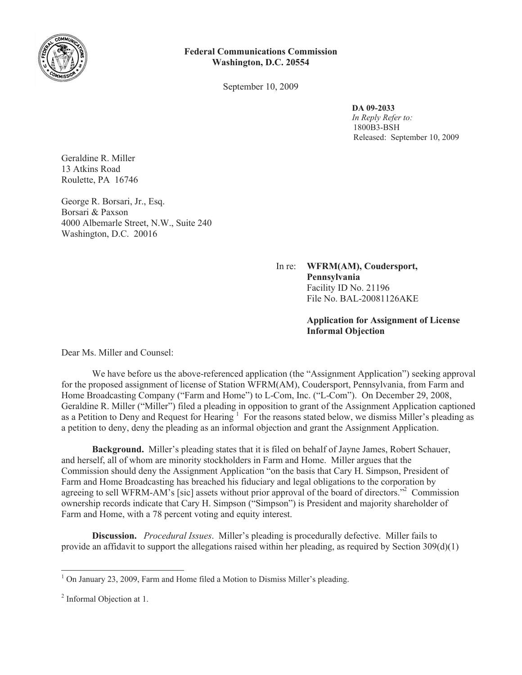

## **Federal Communications Commission Washington, D.C. 20554**

September 10, 2009

## **DA 09-2033**

*In Reply Refer to:* 1800B3-BSH Released: September 10, 2009

Geraldine R. Miller 13 Atkins Road Roulette, PA 16746

George R. Borsari, Jr., Esq. Borsari & Paxson 4000 Albemarle Street, N.W., Suite 240 Washington, D.C. 20016

> In re: **WFRM(AM), Coudersport, Pennsylvania** Facility ID No. 21196 File No. BAL-20081126AKE

> > **Application for Assignment of License Informal Objection**

Dear Ms. Miller and Counsel:

We have before us the above-referenced application (the "Assignment Application") seeking approval for the proposed assignment of license of Station WFRM(AM), Coudersport, Pennsylvania, from Farm and Home Broadcasting Company ("Farm and Home") to L-Com, Inc. ("L-Com"). On December 29, 2008, Geraldine R. Miller ("Miller") filed a pleading in opposition to grant of the Assignment Application captioned as a Petition to Deny and Request for Hearing <sup>1</sup> For the reasons stated below, we dismiss Miller's pleading as a petition to deny, deny the pleading as an informal objection and grant the Assignment Application.

**Background.** Miller's pleading states that it is filed on behalf of Jayne James, Robert Schauer, and herself, all of whom are minority stockholders in Farm and Home. Miller argues that the Commission should deny the Assignment Application "on the basis that Cary H. Simpson, President of Farm and Home Broadcasting has breached his fiduciary and legal obligations to the corporation by agreeing to sell WFRM-AM's [sic] assets without prior approval of the board of directors."<sup>2</sup> Commission ownership records indicate that Cary H. Simpson ("Simpson") is President and majority shareholder of Farm and Home, with a 78 percent voting and equity interest.

**Discussion.** *Procedural Issues*. Miller's pleading is procedurally defective. Miller fails to provide an affidavit to support the allegations raised within her pleading, as required by Section  $309(d)(1)$ 

 $1$  On January 23, 2009, Farm and Home filed a Motion to Dismiss Miller's pleading.

<sup>&</sup>lt;sup>2</sup> Informal Objection at 1.